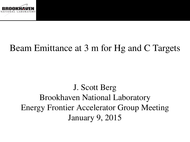

### Beam Emittance at 3 m for Hg and C Targets

J. Scott Berg Brookhaven National Laboratory Energy Frontier Accelerator Group Meeting January 9, 2015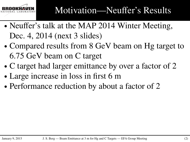

- ∙ Neuffer's talk at the MAP 2014 Winter Meeting, Dec. 4, 2014 (next 3 slides)
- ∙ Compared results from 8 GeV beam on Hg target to 6.75 GeV beam on C target
- ∙ C target had larger emittance by over a factor of 2
- ∙ Large increase in loss in first 6 m
- ∙ Performance reduction by about a factor of 2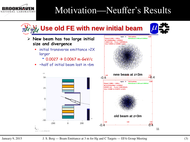#### Motivation—Neuffer's Results



NATIONAL LABORATORY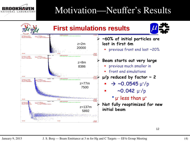

### Motivation—Neuffer's Results

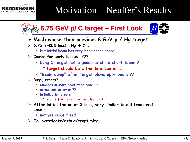

### Motivation—Neuffer's Results



- **Much worse than previous 8 GeV p / Hg target**
- $\geq 6.75$  (~25% less), Hg  $\rightarrow$  C ...
	- **•** but initial beam has very large phase space
- **Causes for early losses ???**
	- **Long C target not a good match to short taper ?**
		- **target should be within lens center …**
	- **"Beam dump" after target blows up π beam ??**
- **Bugs, errors?**
	- **Changes in Mars production code ??**
	- **normalization error ??**
	- **initialization errors**
		- **starts from z=2m rather than z=0**
- **After initial factor of 2 loss, very similar to old front end case**
	- **not yet reoptimized**
- **To investigate/debug/reoptimize ..**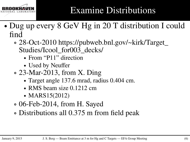

# Examine Distributions

- ∙ Dug up every 8 GeV Hg in 20 T distribution I could find
	- ∘ 28-Oct-2010 https://pubweb.bnl.gov/~kirk/Target\_ Studies/Icool\_for003\_decks/
		- ∙ From "P11" direction
		- ∙ Used by Neuffer
	- ∘ 23-Mar-2013, from X. Ding
		- ∙ Target angle 137.6 mrad, radius 0.404 cm.
		- ∙ RMS beam size 0.1212 cm
		- ∙ MARS15(2012)
	- ∘ 06-Feb-2014, from H. Sayed
	- ∘ Distributions all 0.375 m from field peak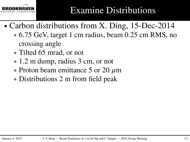

- ∙ Carbon distributions from X. Ding, 15-Dec-2014
	- ∘ 6.75 GeV, target 1 cm radius, beam 0.25 cm RMS, no crossing angle
	- ∘ Tilted 65 mrad, or not
	- ∘ 1.2 m dump, radius 3 cm, or not
	- ∘ Proton beam emittance 5 or 20 *𝜇*m
	- ∘ Distributions 2 m from field peak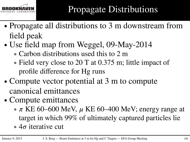

- ∙ Propagate all distributions to 3 m downstream from field peak
- ∙ Use field map from Weggel, 09-May-2014
	- ∘ Carbon distributions used this to 2 m
	- ∘ Field very close to 20 T at 0.375 m; little impact of profile difference for Hg runs
- ∙ Compute vector potential at 3 m to compute canonical emittances
- ∙ Compute emittances
	- $\sigma \pi$  KE 60–600 MeV,  $\mu$  KE 60–400 MeV; energy range at target in which 99% of ultimately captured particles lie
	- ∘ 4*𝜎* iterative cut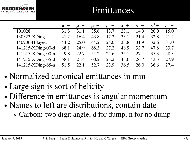

### Emittances

|                   | $\mu^-$ + | $\mu^-$ | $\mu^+$ + | $\mu^+$ – | $\pi^-$ + | $\pi^- -$ | $\pi^+$ | $\pi^+$ |
|-------------------|-----------|---------|-----------|-----------|-----------|-----------|---------|---------|
| 101028            | 31.8      | 31.1    | 35.6      | 13.7      | 23.1      | 14.9      | 26.0    | 15.0    |
| 130323-XDing      | 41.2      | 16.4    | 43.8      | 17.2      | 33.1      | 21.4      | 32.8    | 21.2    |
| 140206-HSayed     | 44.2      | 25.0    | 44.2      | 25.0      | 33.8      | 31.9      | 32.6    | 31.0    |
| 141215-XDing-00-d | 68.1      | 24.9    | 68.3      | 27.2      | 48.9      | 32.7      | 47.8    | 33.7    |
| 141215-XDing-00-n | 49.8      | 22.7    | 51.2      | 24.6      | 35.1      | 27.1      | 35.3    | 28.3    |
| 141215-XDing-65-d | 58.1      | 21.4    | 60.2      | 23.2      | 43.6      | 26.7      | 43.3    | 27.9    |
| 141215-XDing-65-n | 51.5      | 22.1    | 52.7      | 23.9      | 36.5      | 26.0      | 36.6    | 27.4    |

- ∙ Normalized canonical emittances in mm
- ∙ Large sign is sort of helicity
- ∙ Difference in emittances is angular momentum
- ∙ Names to left are distributions, contain date ∘ Carbon: two digit angle, d for dump, n for no dump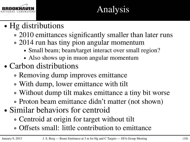

# Analysis

- ∙ Hg distributions
	- ∘ 2010 emittances significantly smaller than later runs
	- ∘ 2014 run has tiny pion angular momentum
		- ∙ Small beam; beam/target interact over small region?
		- ∙ Also shows up in muon angular momentum
- ∙ Carbon distributions
	- ∘ Removing dump improves emittance
	- ∘ With dump, lower emittance with tilt
	- ∘ Without dump tilt makes emittance a tiny bit worse
	- ∘ Proton beam emittance didn't matter (not shown)
- ∙ Similar behaviors for centroid
	- ∘ Centroid at origin for target without tilt
	- ∘ Offsets small: little contribution to emittance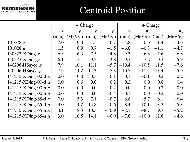

# Centroid Position

|                         | $-$ Charge          |         |               |         | $+$ Charge          |         |               |         |
|-------------------------|---------------------|---------|---------------|---------|---------------------|---------|---------------|---------|
|                         | $\boldsymbol{\chi}$ | $p_{x}$ | $\mathcal{Y}$ | $p_{v}$ | $\boldsymbol{\chi}$ | $p_{x}$ | $\mathcal{Y}$ | $p_{v}$ |
|                         | (mm)                | (MeV/c) | (mm)          | (MeV/c) | (mm)                | (MeV/c) | (mm)          | (MeV/c) |
| 101028 $\pi$            | 2.0                 | 0.0     | 1.5           | 0.7     | $-4.8$              | 0.6     | $-1.4$        | $-3.6$  |
| 101028 $\mu$            | 1.5                 | 0.9     | 0.7           | $-1.5$  | $-6.0$              | $-0.8$  | $-1.1$        | $-4.7$  |
| 130323-XDing $\pi$      | 6.3                 | 6.3     | 7.5           | $-4.8$  | $-9.3$              | $-6.8$  | 7.6           | $-6.8$  |
| 130323-XDing $\mu$      | 6.1                 | 7.1     | 9.2           | $-3.8$  | $-9.3$              | $-7.2$  | 9.3           | $-5.9$  |
| 140206-HSayed $\pi$     | 7.9                 | 10.1    | 11.1          | $-5.7$  | $-10.4$             | $-10.5$ | 11.5          | $-7.6$  |
| 140206-HSayed $\mu$     | $-7.9$              | 11.2    | 14.3          | $-5.3$  | $-10.7$             | $-11.2$ | 13.4          | $-5.9$  |
| 141215-XDing-00-d $\pi$ | 0.0                 | 0.0     | 0.3           | 0.1     | 0.1                 | $-0.1$  | 0.2           | 0.2     |
| 141215-XDing-00-d $\mu$ | 0.0                 | 0.6     | 0.0           | 0.2     | 0.2                 | 0.0     | 0.0           | 0.4     |
| 141215-XDing-00-n $\pi$ | 0.0                 | 0.0     | 0.0           | $-0.2$  | 0.0                 | 0.0     | $-0.2$        | 0.0     |
| 141215-XDing-00-n $\mu$ | 0.0                 | 0.0     | 0.0           | $-0.4$  | $-0.1$              | 0.0     | $-0.2$        | 0.0     |
| 141215-XDing-65-d $\pi$ | 0.0                 | 5.3     | 7.1           | $-0.7$  | $-8.8$              | $-5.7$  | 6.1           | $-6.4$  |
| 141215-XDing-65-d $\mu$ | 3.0                 | 11.2    | 15.8          | $-0.6$  | $-8.4$              | $-10.1$ | 13.3          | $-5.3$  |
| 141215-XDing-65-n $\pi$ | 3.1                 | 8.3     | 10.3          | $-10.9$ | $-8.1$              | $-8.7$  | 9.7           | $-5.2$  |
| 141215-XDing-65-n $\mu$ | 3.0                 | 10.5    | 14.1          | $-0.9$  | $-7.6$              | $-10.0$ | 12.6          | $-4.6$  |